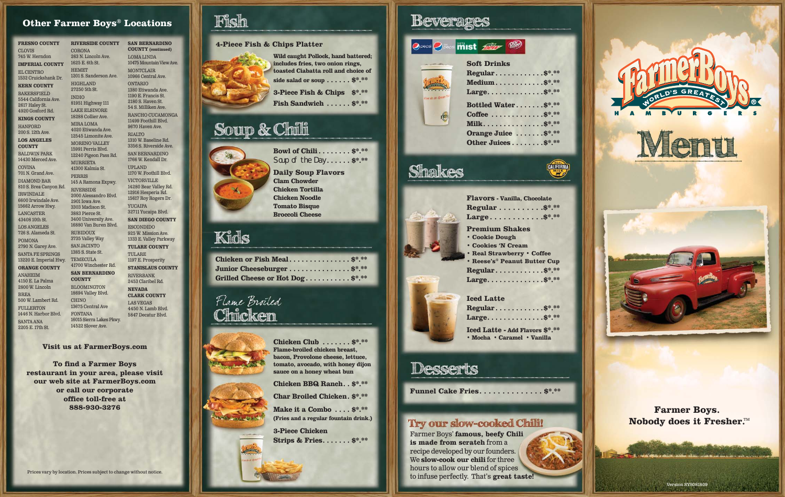#### **Other Farmer Boys® Locations**

**FRESNO COUNTY** CLOVIS 745 W. Herndon **IMPERIAL COUNTY** EL CENTRO 1532 Cruickshank Dr. **KERN COUNTY BAKERSFIELD** 5544 California Ave. 2617 Haley St. 4920 Gosford Rd. **KINGS COUNTY HANFORD** 200 S. 12th Ave. **LOS ANGELES COUNTY** BALDWIN PARK 14430 Merced Ave. **COVINA** 701 N. Grand Ave. DIAMOND BAR 810 S. Brea Canyon Rd. IRWINDALE 6600 Irwindale Ave. 15662 Arrow Hwy. LANCASTER 43408 10th St. LOS ANGELES 726 S. Alameda St. POMONA 2790 N. Garey Ave. SANTA FE SPRINGS 13220 E. Imperial Hwy. **ORANGE COUNTY** ANAHEIM 4150 E. La Palma 2800 W. Lincoln BREA 500 W. Lambert Rd. FULLERTON 1446 N. Harbor Blvd. SANTA ANA 2205 E. 17th St. **RIVERSIDE COUNTY CORONA** 263 N. Lincoln Ave. 1625 E. 6th St. HEMET 1201 S. Sanderson Ave. HIGHLAND 27250 5th St. INDIO 81951 Highway 111 LAKE ELSINORE 18288 Collier Ave. MIRA LOMA 4020 Etiwanda Ave. 12545 Limonite Ave. MORENO VALLEY 15991 Perris Blvd. 12240 Pigeon Pass Rd. MURRIETA 41300 Kalmia St. PERRIS 145 A Ramona Expwy. RIVERSIDE 2000 Alessandro Blvd. 2901 Iowa Ave. 3303 Madison St. 3883 Pierce St. 3400 University Ave. 16880 Van Buren Blvd. RUBIDOUX 3735 Valley Way SAN JACINTO 1385 S. State St. TEMECULA 41700 Winchester Rd. **SAN BERNARDINO COUNTY** BLOOMINGTON 18694 Valley Blvd. CHINO 13675 Central Ave FONTANA 16015 Sierra Lakes Pkwy. 14522 Slover Ave.

**SAN BERNARDINO COUNTY (continued)** LOMA LINDA 10475 Mountain View Ave. MONTCLAIR 10966 Central Ave. ONTARIO 1380 Etiwanda Ave. 1190 E. Francis St. 2180 S. Haven St. 54 S. Milliken Ave. RANCHO CUCAMONGA 11499 Foothill Blvd. 9670 Haven Ave. RIALTO 1310 W. Baseline Rd. 3356 S. Riverside Ave. SAN BERNARDINO 1766 W. Kendall Dr. UPLAND 1170 W. Foothill Blvd. VICTORVILLE 14280 Bear Valley Rd. 12916 Hesperia Rd. 15617 Roy Rogers Dr. YUCAIPA 32711 Yucaipa Blvd. **SAN DIEGO COUNTY ESCONDIDO** 925 W. Mission Ave. 1333 E. Valley Parkway **TULARE COUNTY** TULARE 1197 E. Prosperity **STANISLAUS COUNTY** RIVERBANK 2453 Claribel Rd. **NEVADA CLARK COUNTY** LAS VEGAS 4450 N. Lamb Blvd. 5847 Decatur Blvd.



**4-Piece Fish & Chips Platter Wild caught Pollock, hand battered; includes fries, two onion rings, toasted Ciabatta roll and choice of side salad or soup . . . . . . \$\*.\*\* 3-Piece Fish & Chips \$\*.\*\* Fish Sandwich . . . . . . \$\*.\*\***

## Soup & Chili

**Bowl of Chili. . . . . . . . \$\*.\*\*** Soup of the Day...... \$\*.\*\* **Daily Soup Flavors Clam Chowder Chicken Tortilla Chicken Noodle Tomato Bisque Broccoli Cheese**

## Kids

**Chicken or Fish Meal . . . . . . . . . . . . . . . \$\*.\*\* Junior Cheeseburger . . . . . . . . . . . . . . . \$\*.\*\* Grilled Cheese or Hot Dog . . . . . . . . . . . \$\*.\*\***

### Flame Broiled Chicken

**Chicken Club . . . . . . . \$\*.\*\* Flame-broiled chicken breast, bacon, Provolone cheese, lettuce, tomato, avocado, with honey dijon sauce on a honey wheat bun**

**Chicken BBQ Ranch . . \$\*.\*\* Char Broiled Chicken . \$\*.\*\***

**Make it a Combo . . . . \$\*.\*\* (Fries and a regular fountain drink.)**

**3-Piece Chicken Strips & Fries . . . . . . . \$\*.\*\***

### Beverages



## Shakes



CALIFORNIA

### **Iced Latte**

| Regular\$*.**                                                         |
|-----------------------------------------------------------------------|
| Large\$*.**                                                           |
| <b>Iced Latte - Add Flavors \$*.**</b><br>. Mocha . Caramel . Vanilla |

### Desserts

**Funnel Cake Fries . . . . . . . . . . . . . . \$\*.\*\***

### Try our slow-cooked Chili!

Farmer Boys' **famous, beefy Chili is made from scratch** from a recipe developed by our founders. We **slow-cook our chili** for three hours to allow our blend of spices to infuse perfectly. That's **great taste!**





**Farmer Boys. Nobody does it Fresher.<sup>TM</sup>** 

Version SYS081809

**Visit us at FarmerBoys.com**

**To find a Farmer Boys restaurant in your area, please visit our web site at FarmerBoys.com or call our corporate office toll-free at 888-930-3276**